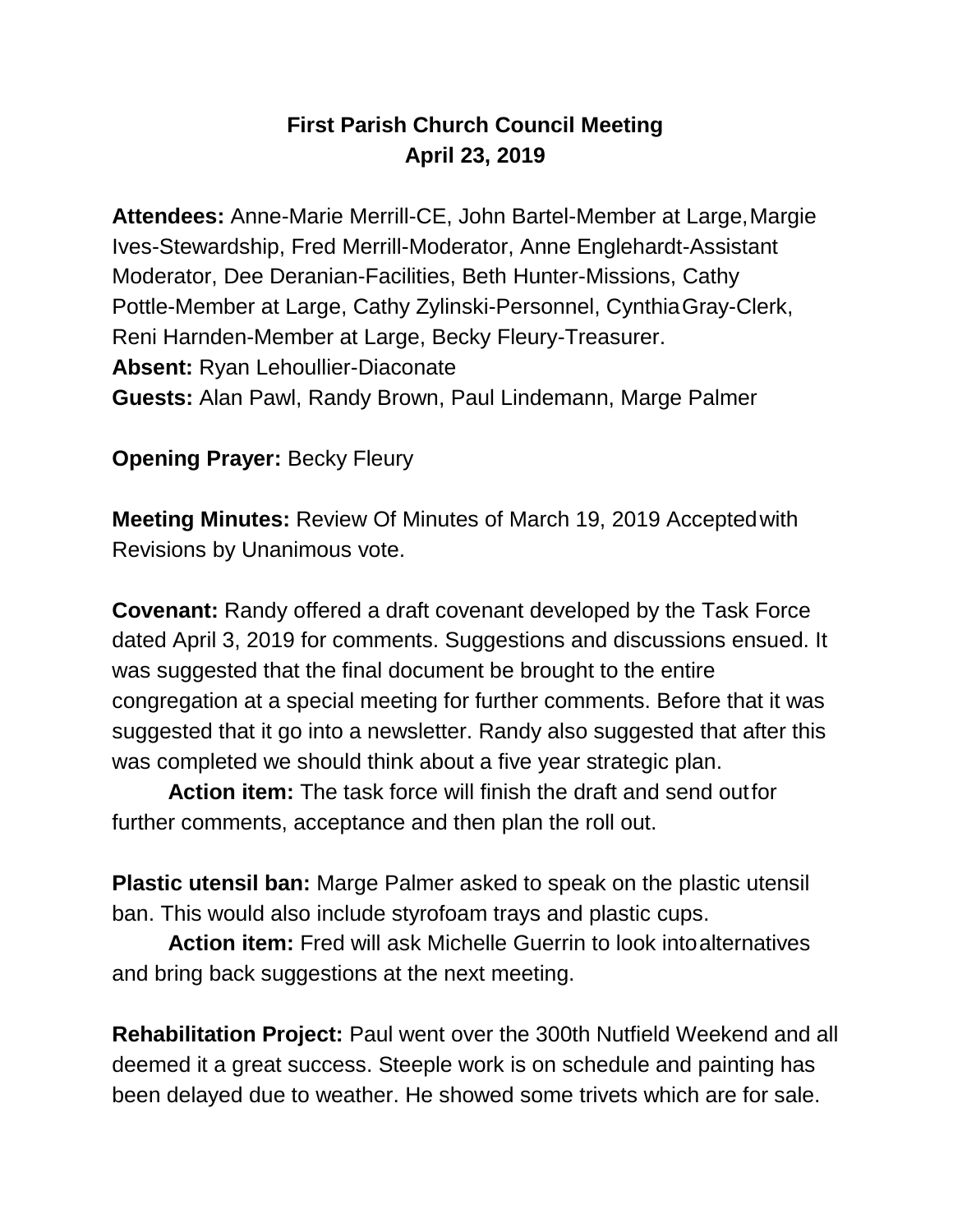## **First Parish Church Council Meeting April 23, 2019**

**Attendees:** Anne-Marie Merrill-CE, John Bartel-Member at Large,Margie Ives-Stewardship, Fred Merrill-Moderator, Anne Englehardt-Assistant Moderator, Dee Deranian-Facilities, Beth Hunter-Missions, Cathy Pottle-Member at Large, Cathy Zylinski-Personnel, CynthiaGray-Clerk, Reni Harnden-Member at Large, Becky Fleury-Treasurer. **Absent:** Ryan Lehoullier-Diaconate **Guests:** Alan Pawl, Randy Brown, Paul Lindemann, Marge Palmer

**Opening Prayer: Becky Fleury** 

**Meeting Minutes:** Review Of Minutes of March 19, 2019 Acceptedwith Revisions by Unanimous vote.

**Covenant:** Randy offered a draft covenant developed by the Task Force dated April 3, 2019 for comments. Suggestions and discussions ensued. It was suggested that the final document be brought to the entire congregation at a special meeting for further comments. Before that it was suggested that it go into a newsletter. Randy also suggested that after this was completed we should think about a five year strategic plan.

**Action item:** The task force will finish the draft and send outfor further comments, acceptance and then plan the roll out.

**Plastic utensil ban:** Marge Palmer asked to speak on the plastic utensil ban. This would also include styrofoam trays and plastic cups.

**Action item:** Fred will ask Michelle Guerrin to look intoalternatives and bring back suggestions at the next meeting.

**Rehabilitation Project:** Paul went over the 300th Nutfield Weekend and all deemed it a great success. Steeple work is on schedule and painting has been delayed due to weather. He showed some trivets which are for sale.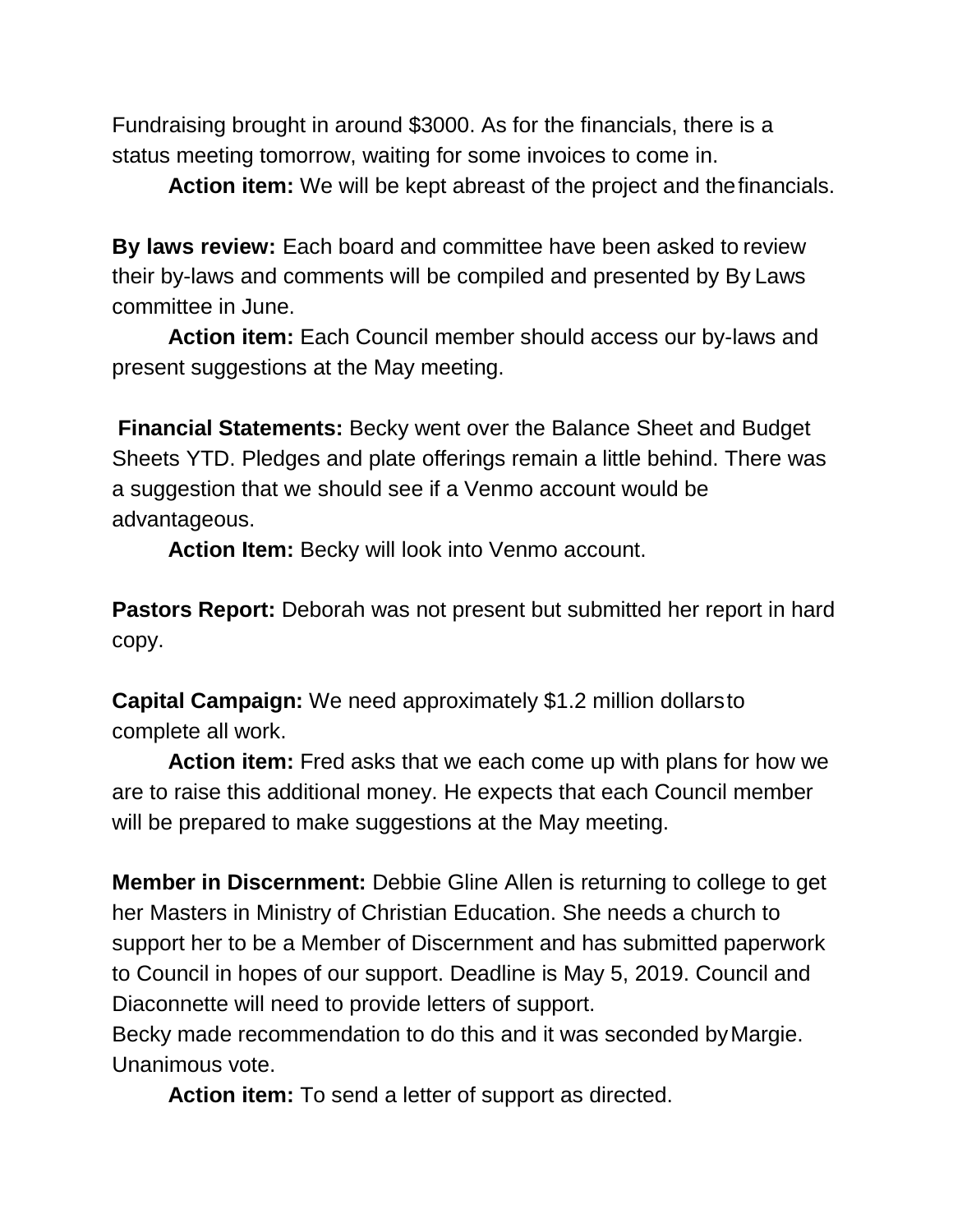Fundraising brought in around \$3000. As for the financials, there is a status meeting tomorrow, waiting for some invoices to come in.

**Action item:** We will be kept abreast of the project and thefinancials.

**By laws review:** Each board and committee have been asked to review their by-laws and comments will be compiled and presented by By Laws committee in June.

**Action item:** Each Council member should access our by-laws and present suggestions at the May meeting.

**Financial Statements:** Becky went over the Balance Sheet and Budget Sheets YTD. Pledges and plate offerings remain a little behind. There was a suggestion that we should see if a Venmo account would be advantageous.

**Action Item:** Becky will look into Venmo account.

**Pastors Report:** Deborah was not present but submitted her report in hard copy.

**Capital Campaign:** We need approximately \$1.2 million dollarsto complete all work.

**Action item:** Fred asks that we each come up with plans for how we are to raise this additional money. He expects that each Council member will be prepared to make suggestions at the May meeting.

**Member in Discernment:** Debbie Gline Allen is returning to college to get her Masters in Ministry of Christian Education. She needs a church to support her to be a Member of Discernment and has submitted paperwork to Council in hopes of our support. Deadline is May 5, 2019. Council and Diaconnette will need to provide letters of support.

Becky made recommendation to do this and it was seconded byMargie. Unanimous vote.

**Action item:** To send a letter of support as directed.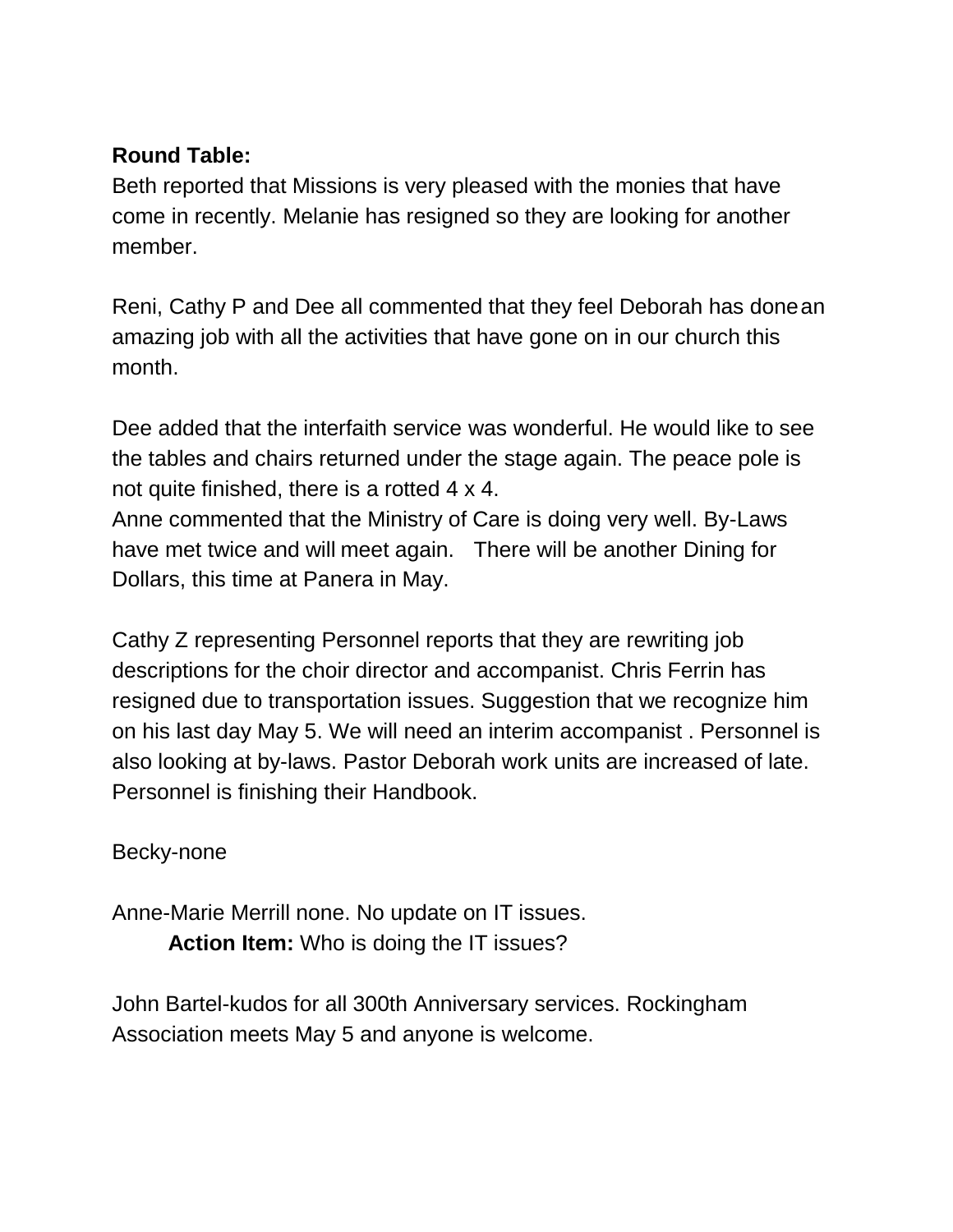## **Round Table:**

Beth reported that Missions is very pleased with the monies that have come in recently. Melanie has resigned so they are looking for another member.

Reni, Cathy P and Dee all commented that they feel Deborah has donean amazing job with all the activities that have gone on in our church this month.

Dee added that the interfaith service was wonderful. He would like to see the tables and chairs returned under the stage again. The peace pole is not quite finished, there is a rotted 4 x 4.

Anne commented that the Ministry of Care is doing very well. By-Laws have met twice and will meet again. There will be another Dining for Dollars, this time at Panera in May.

Cathy Z representing Personnel reports that they are rewriting job descriptions for the choir director and accompanist. Chris Ferrin has resigned due to transportation issues. Suggestion that we recognize him on his last day May 5. We will need an interim accompanist . Personnel is also looking at by-laws. Pastor Deborah work units are increased of late. Personnel is finishing their Handbook.

Becky-none

Anne-Marie Merrill none. No update on IT issues. **Action Item:** Who is doing the IT issues?

John Bartel-kudos for all 300th Anniversary services. Rockingham Association meets May 5 and anyone is welcome.